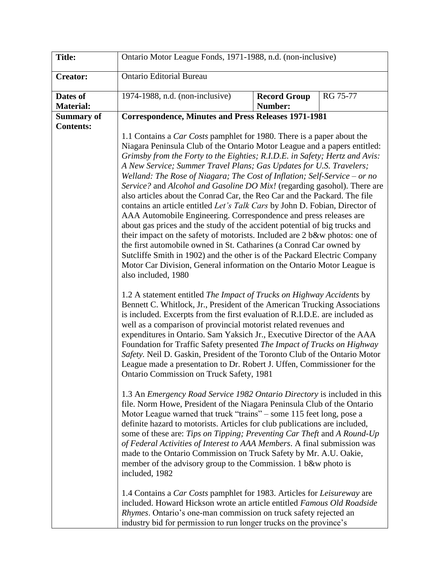| <b>Title:</b>                         | Ontario Motor League Fonds, 1971-1988, n.d. (non-inclusive)                                                                                                                                                                                                                                                                                                                                                                                                                                                                                                                                                                                                                                                                                                                                                                                                                                                                                                                                                                                                                                                                 |                                |          |  |  |  |
|---------------------------------------|-----------------------------------------------------------------------------------------------------------------------------------------------------------------------------------------------------------------------------------------------------------------------------------------------------------------------------------------------------------------------------------------------------------------------------------------------------------------------------------------------------------------------------------------------------------------------------------------------------------------------------------------------------------------------------------------------------------------------------------------------------------------------------------------------------------------------------------------------------------------------------------------------------------------------------------------------------------------------------------------------------------------------------------------------------------------------------------------------------------------------------|--------------------------------|----------|--|--|--|
| <b>Creator:</b>                       | <b>Ontario Editorial Bureau</b>                                                                                                                                                                                                                                                                                                                                                                                                                                                                                                                                                                                                                                                                                                                                                                                                                                                                                                                                                                                                                                                                                             |                                |          |  |  |  |
| Dates of<br><b>Material:</b>          | 1974-1988, n.d. (non-inclusive)                                                                                                                                                                                                                                                                                                                                                                                                                                                                                                                                                                                                                                                                                                                                                                                                                                                                                                                                                                                                                                                                                             | <b>Record Group</b><br>Number: | RG 75-77 |  |  |  |
| <b>Summary of</b><br><b>Contents:</b> | <b>Correspondence, Minutes and Press Releases 1971-1981</b>                                                                                                                                                                                                                                                                                                                                                                                                                                                                                                                                                                                                                                                                                                                                                                                                                                                                                                                                                                                                                                                                 |                                |          |  |  |  |
|                                       | 1.1 Contains a <i>Car Costs</i> pamphlet for 1980. There is a paper about the<br>Niagara Peninsula Club of the Ontario Motor League and a papers entitled:<br>Grimsby from the Forty to the Eighties; R.I.D.E. in Safety; Hertz and Avis:<br>A New Service; Summer Travel Plans; Gas Updates for U.S. Travelers;<br>Welland: The Rose of Niagara; The Cost of Inflation; Self-Service – or no<br>Service? and Alcohol and Gasoline DO Mix! (regarding gasohol). There are<br>also articles about the Conrad Car, the Reo Car and the Packard. The file<br>contains an article entitled Let's Talk Cars by John D. Fobian, Director of<br>AAA Automobile Engineering. Correspondence and press releases are<br>about gas prices and the study of the accident potential of big trucks and<br>their impact on the safety of motorists. Included are 2 b&w photos: one of<br>the first automobile owned in St. Catharines (a Conrad Car owned by<br>Sutcliffe Smith in 1902) and the other is of the Packard Electric Company<br>Motor Car Division, General information on the Ontario Motor League is<br>also included, 1980 |                                |          |  |  |  |
|                                       | 1.2 A statement entitled The Impact of Trucks on Highway Accidents by<br>Bennett C. Whitlock, Jr., President of the American Trucking Associations<br>is included. Excerpts from the first evaluation of R.I.D.E. are included as<br>well as a comparison of provincial motorist related revenues and<br>expenditures in Ontario. Sam Yaksich Jr., Executive Director of the AAA<br>Foundation for Traffic Safety presented The Impact of Trucks on Highway<br>Safety. Neil D. Gaskin, President of the Toronto Club of the Ontario Motor<br>League made a presentation to Dr. Robert J. Uffen, Commissioner for the<br>Ontario Commission on Truck Safety, 1981                                                                                                                                                                                                                                                                                                                                                                                                                                                            |                                |          |  |  |  |
|                                       | 1.3 An Emergency Road Service 1982 Ontario Directory is included in this<br>file. Norm Howe, President of the Niagara Peninsula Club of the Ontario<br>Motor League warned that truck "trains" – some 115 feet long, pose a<br>definite hazard to motorists. Articles for club publications are included,<br>some of these are: Tips on Tipping; Preventing Car Theft and A Round-Up<br>of Federal Activities of Interest to AAA Members. A final submission was<br>made to the Ontario Commission on Truck Safety by Mr. A.U. Oakie,<br>member of the advisory group to the Commission. 1 b&w photo is<br>included, 1982                                                                                                                                                                                                                                                                                                                                                                                                                                                                                                   |                                |          |  |  |  |
|                                       | 1.4 Contains a <i>Car Costs</i> pamphlet for 1983. Articles for <i>Leisureway</i> are<br>included. Howard Hickson wrote an article entitled Famous Old Roadside<br>Rhymes. Ontario's one-man commission on truck safety rejected an<br>industry bid for permission to run longer trucks on the province's                                                                                                                                                                                                                                                                                                                                                                                                                                                                                                                                                                                                                                                                                                                                                                                                                   |                                |          |  |  |  |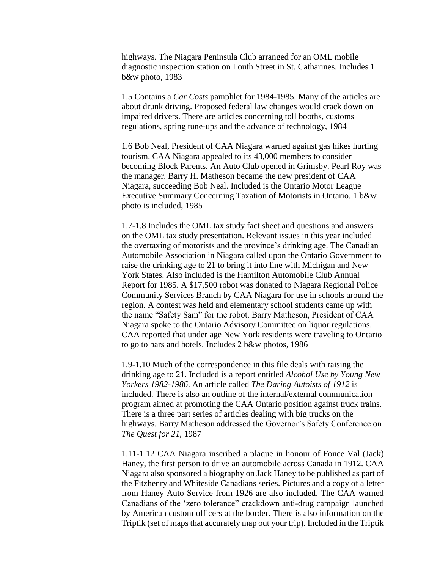| highways. The Niagara Peninsula Club arranged for an OML mobile<br>diagnostic inspection station on Louth Street in St. Catharines. Includes 1<br>b&w photo, 1983                                                                                                                                                                                                                                                                                                                                                                                                                                                                                                                                                                                                                                                                                                                                                                                                                    |
|--------------------------------------------------------------------------------------------------------------------------------------------------------------------------------------------------------------------------------------------------------------------------------------------------------------------------------------------------------------------------------------------------------------------------------------------------------------------------------------------------------------------------------------------------------------------------------------------------------------------------------------------------------------------------------------------------------------------------------------------------------------------------------------------------------------------------------------------------------------------------------------------------------------------------------------------------------------------------------------|
| 1.5 Contains a <i>Car Costs</i> pamphlet for 1984-1985. Many of the articles are<br>about drunk driving. Proposed federal law changes would crack down on<br>impaired drivers. There are articles concerning toll booths, customs<br>regulations, spring tune-ups and the advance of technology, 1984                                                                                                                                                                                                                                                                                                                                                                                                                                                                                                                                                                                                                                                                                |
| 1.6 Bob Neal, President of CAA Niagara warned against gas hikes hurting<br>tourism. CAA Niagara appealed to its 43,000 members to consider<br>becoming Block Parents. An Auto Club opened in Grimsby. Pearl Roy was<br>the manager. Barry H. Matheson became the new president of CAA<br>Niagara, succeeding Bob Neal. Included is the Ontario Motor League<br>Executive Summary Concerning Taxation of Motorists in Ontario. 1 b&w<br>photo is included, 1985                                                                                                                                                                                                                                                                                                                                                                                                                                                                                                                       |
| 1.7-1.8 Includes the OML tax study fact sheet and questions and answers<br>on the OML tax study presentation. Relevant issues in this year included<br>the overtaxing of motorists and the province's drinking age. The Canadian<br>Automobile Association in Niagara called upon the Ontario Government to<br>raise the drinking age to 21 to bring it into line with Michigan and New<br>York States. Also included is the Hamilton Automobile Club Annual<br>Report for 1985. A \$17,500 robot was donated to Niagara Regional Police<br>Community Services Branch by CAA Niagara for use in schools around the<br>region. A contest was held and elementary school students came up with<br>the name "Safety Sam" for the robot. Barry Matheson, President of CAA<br>Niagara spoke to the Ontario Advisory Committee on liquor regulations.<br>CAA reported that under age New York residents were traveling to Ontario<br>to go to bars and hotels. Includes 2 b&w photos, 1986 |
| 1.9-1.10 Much of the correspondence in this file deals with raising the<br>drinking age to 21. Included is a report entitled <i>Alcohol Use by Young New</i><br>Yorkers 1982-1986. An article called The Daring Autoists of 1912 is<br>included. There is also an outline of the internal/external communication<br>program aimed at promoting the CAA Ontario position against truck trains.<br>There is a three part series of articles dealing with big trucks on the<br>highways. Barry Matheson addressed the Governor's Safety Conference on<br>The Quest for 21, 1987                                                                                                                                                                                                                                                                                                                                                                                                         |
| 1.11-1.12 CAA Niagara inscribed a plaque in honour of Fonce Val (Jack)<br>Haney, the first person to drive an automobile across Canada in 1912. CAA<br>Niagara also sponsored a biography on Jack Haney to be published as part of<br>the Fitzhenry and Whiteside Canadians series. Pictures and a copy of a letter<br>from Haney Auto Service from 1926 are also included. The CAA warned<br>Canadians of the 'zero tolerance'' crackdown anti-drug campaign launched<br>by American custom officers at the border. There is also information on the<br>Triptik (set of maps that accurately map out your trip). Included in the Triptik                                                                                                                                                                                                                                                                                                                                            |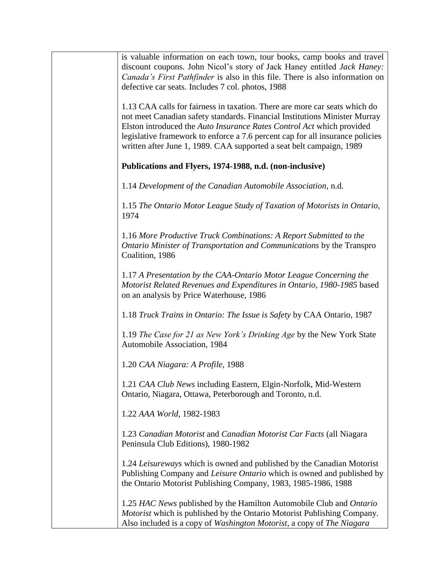| is valuable information on each town, tour books, camp books and travel<br>discount coupons. John Nicol's story of Jack Haney entitled <i>Jack Haney</i> :<br>Canada's First Pathfinder is also in this file. There is also information on<br>defective car seats. Includes 7 col. photos, 1988                                                                                            |  |  |
|--------------------------------------------------------------------------------------------------------------------------------------------------------------------------------------------------------------------------------------------------------------------------------------------------------------------------------------------------------------------------------------------|--|--|
| 1.13 CAA calls for fairness in taxation. There are more car seats which do<br>not meet Canadian safety standards. Financial Institutions Minister Murray<br>Elston introduced the Auto Insurance Rates Control Act which provided<br>legislative framework to enforce a 7.6 percent cap for all insurance policies<br>written after June 1, 1989. CAA supported a seat belt campaign, 1989 |  |  |
| Publications and Flyers, 1974-1988, n.d. (non-inclusive)                                                                                                                                                                                                                                                                                                                                   |  |  |
| 1.14 Development of the Canadian Automobile Association, n.d.                                                                                                                                                                                                                                                                                                                              |  |  |
| 1.15 The Ontario Motor League Study of Taxation of Motorists in Ontario,<br>1974                                                                                                                                                                                                                                                                                                           |  |  |
| 1.16 More Productive Truck Combinations: A Report Submitted to the<br>Ontario Minister of Transportation and Communications by the Transpro<br>Coalition, 1986                                                                                                                                                                                                                             |  |  |
| 1.17 A Presentation by the CAA-Ontario Motor League Concerning the<br>Motorist Related Revenues and Expenditures in Ontario, 1980-1985 based<br>on an analysis by Price Waterhouse, 1986                                                                                                                                                                                                   |  |  |
| 1.18 Truck Trains in Ontario: The Issue is Safety by CAA Ontario, 1987                                                                                                                                                                                                                                                                                                                     |  |  |
| 1.19 The Case for 21 as New York's Drinking Age by the New York State<br>Automobile Association, 1984                                                                                                                                                                                                                                                                                      |  |  |
| 1.20 CAA Niagara: A Profile, 1988                                                                                                                                                                                                                                                                                                                                                          |  |  |
| 1.21 CAA Club News including Eastern, Elgin-Norfolk, Mid-Western<br>Ontario, Niagara, Ottawa, Peterborough and Toronto, n.d.                                                                                                                                                                                                                                                               |  |  |
| 1.22 AAA World, 1982-1983                                                                                                                                                                                                                                                                                                                                                                  |  |  |
| 1.23 Canadian Motorist and Canadian Motorist Car Facts (all Niagara<br>Peninsula Club Editions), 1980-1982                                                                                                                                                                                                                                                                                 |  |  |
| 1.24 Leisureways which is owned and published by the Canadian Motorist<br>Publishing Company and Leisure Ontario which is owned and published by<br>the Ontario Motorist Publishing Company, 1983, 1985-1986, 1988                                                                                                                                                                         |  |  |
| 1.25 HAC News published by the Hamilton Automobile Club and Ontario<br>Motorist which is published by the Ontario Motorist Publishing Company.<br>Also included is a copy of Washington Motorist, a copy of The Niagara                                                                                                                                                                    |  |  |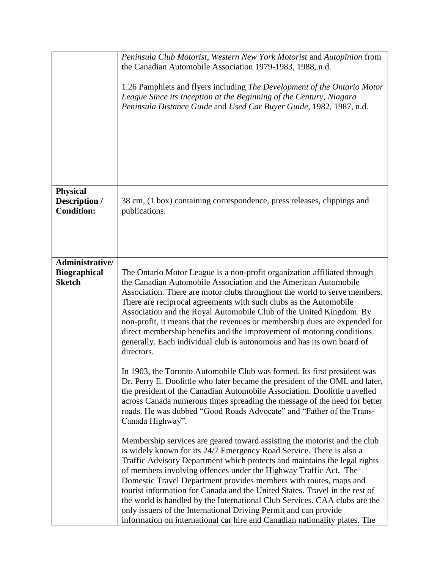|                                                         | Peninsula Club Motorist, Western New York Motorist and Autopinion from<br>the Canadian Automobile Association 1979-1983, 1988, n.d.<br>1.26 Pamphlets and flyers including The Development of the Ontario Motor<br>League Since its Inception at the Beginning of the Century, Niagara<br>Peninsula Distance Guide and Used Car Buyer Guide, 1982, 1987, n.d.                                                                                                                                                                                                                                                                                                                          |  |
|---------------------------------------------------------|----------------------------------------------------------------------------------------------------------------------------------------------------------------------------------------------------------------------------------------------------------------------------------------------------------------------------------------------------------------------------------------------------------------------------------------------------------------------------------------------------------------------------------------------------------------------------------------------------------------------------------------------------------------------------------------|--|
| <b>Physical</b><br>Description /<br><b>Condition:</b>   | 38 cm, (1 box) containing correspondence, press releases, clippings and<br>publications.                                                                                                                                                                                                                                                                                                                                                                                                                                                                                                                                                                                               |  |
| Administrative/<br><b>Biographical</b><br><b>Sketch</b> | The Ontario Motor League is a non-profit organization affiliated through<br>the Canadian Automobile Association and the American Automobile<br>Association. There are motor clubs throughout the world to serve members.<br>There are reciprocal agreements with such clubs as the Automobile<br>Association and the Royal Automobile Club of the United Kingdom. By<br>non-profit, it means that the revenues or membership dues are expended for<br>direct membership benefits and the improvement of motoring conditions<br>generally. Each individual club is autonomous and has its own board of<br>directors.                                                                    |  |
|                                                         | In 1903, the Toronto Automobile Club was formed. Its first president was<br>Dr. Perry E. Doolittle who later became the president of the OML and later,<br>the president of the Canadian Automobile Association. Doolittle travelled<br>across Canada numerous times spreading the message of the need for better<br>roads. He was dubbed "Good Roads Advocate" and "Father of the Trans-<br>Canada Highway".                                                                                                                                                                                                                                                                          |  |
|                                                         | Membership services are geared toward assisting the motorist and the club<br>is widely known for its 24/7 Emergency Road Service. There is also a<br>Traffic Advisory Department which protects and maintains the legal rights<br>of members involving offences under the Highway Traffic Act. The<br>Domestic Travel Department provides members with routes, maps and<br>tourist information for Canada and the United States. Travel in the rest of<br>the world is handled by the International Club Services. CAA clubs are the<br>only issuers of the International Driving Permit and can provide<br>information on international car hire and Canadian nationality plates. The |  |